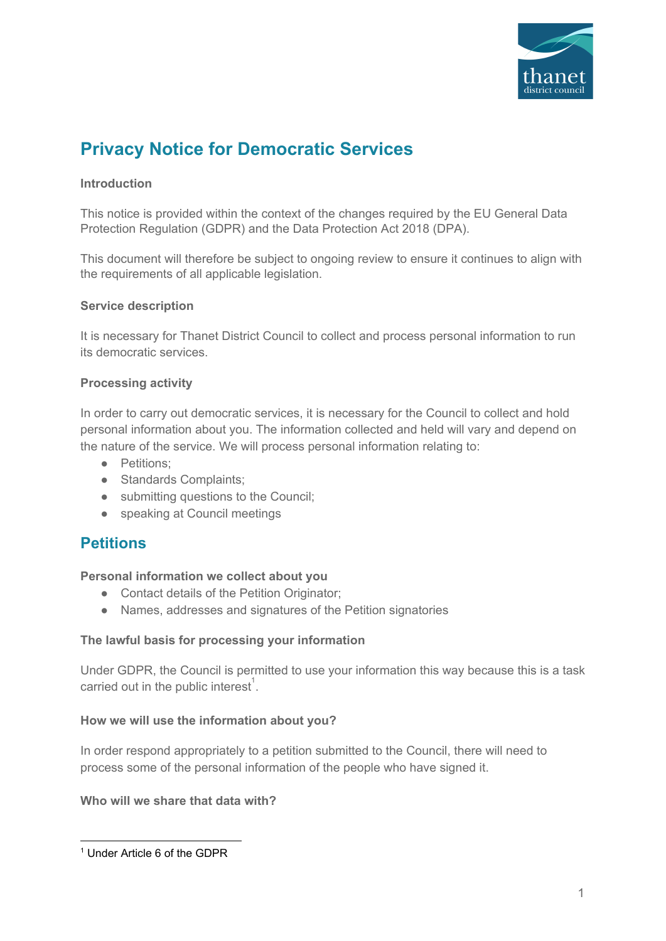

# **Privacy Notice for Democratic Services**

# **Introduction**

This notice is provided within the context of the changes required by the EU General Data Protection Regulation (GDPR) and the Data Protection Act 2018 (DPA).

This document will therefore be subject to ongoing review to ensure it continues to align with the requirements of all applicable legislation.

### **Service description**

It is necessary for Thanet District Council to collect and process personal information to run its democratic services.

### **Processing activity**

In order to carry out democratic services, it is necessary for the Council to collect and hold personal information about you. The information collected and held will vary and depend on the nature of the service. We will process personal information relating to:

- Petitions:
- Standards Complaints;
- submitting questions to the Council;
- speaking at Council meetings

# **Petitions**

### **Personal information we collect about you**

- Contact details of the Petition Originator;
- Names, addresses and signatures of the Petition signatories

### **The lawful basis for processing your information**

Under GDPR, the Council is permitted to use your information this way because this is a task carried out in the public interest<sup>1</sup>.

# **How we will use the information about you?**

In order respond appropriately to a petition submitted to the Council, there will need to process some of the personal information of the people who have signed it.

**Who will we share that data with?**

<sup>1</sup> Under Article 6 of the GDPR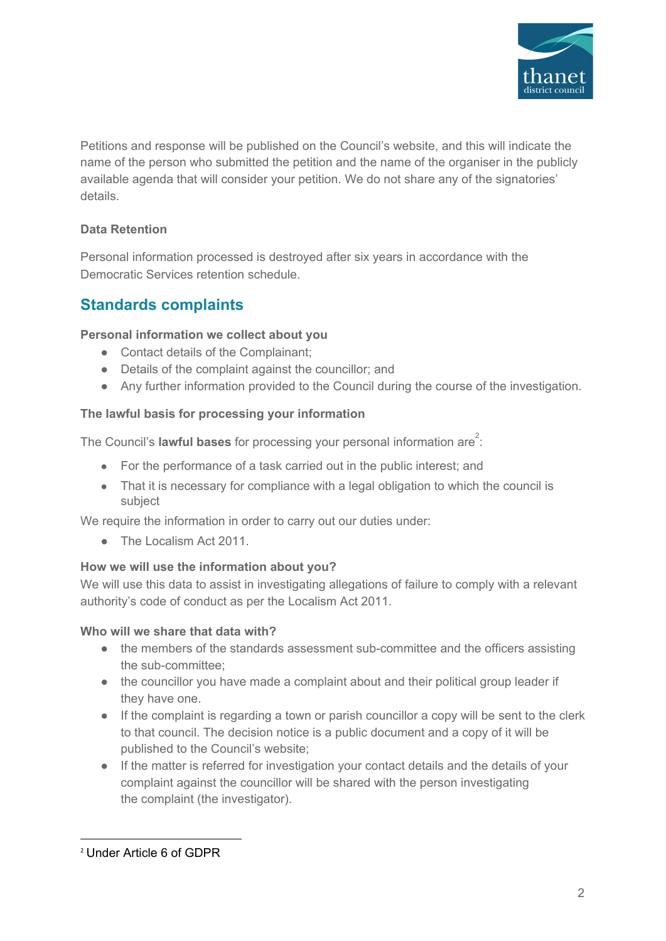

Petitions and response will be published on the Council's website, and this will indicate the name of the person who submitted the petition and the name of the organiser in the publicly available agenda that will consider your petition. We do not share any of the signatories' details.

# **Data Retention**

Personal information processed is destroyed after six years in accordance with the Democratic Services retention schedule.

# **Standards complaints**

### **Personal information we collect about you**

- Contact details of the Complainant;
- Details of the complaint against the councillor; and
- Any further information provided to the Council during the course of the investigation.

### **The lawful basis for processing your information**

The Council's **lawful bases** for processing your personal information are $^2$ :

- For the performance of a task carried out in the public interest; and
- That it is necessary for compliance with a legal obligation to which the council is subject

We require the information in order to carry out our duties under:

• The Localism Act 2011.

# **How we will use the information about you?**

We will use this data to assist in investigating allegations of failure to comply with a relevant authority's code of conduct as per the Localism Act 2011.

### **Who will we share that data with?**

- the members of the standards assessment sub-committee and the officers assisting the sub-committee;
- the councillor you have made a complaint about and their political group leader if they have one.
- If the complaint is regarding a town or parish councillor a copy will be sent to the clerk to that council. The decision notice is a public document and a copy of it will be published to the Council's website;
- If the matter is referred for investigation your contact details and the details of your complaint against the councillor will be shared with the person investigating the complaint (the investigator).

<sup>2</sup> Under Article 6 of GDPR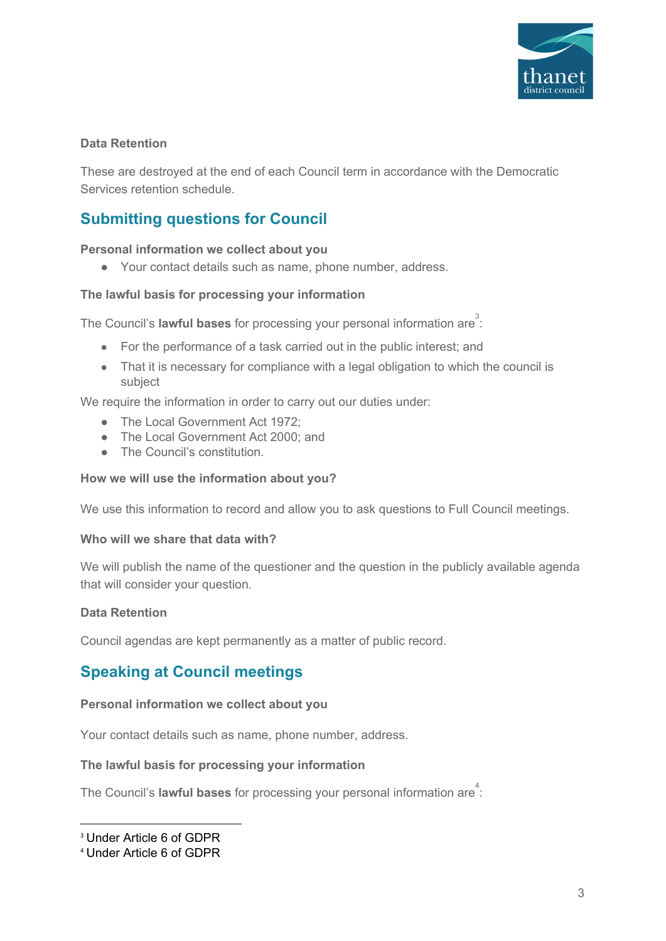

### **Data Retention**

These are destroyed at the end of each Council term in accordance with the Democratic Services retention schedule.

# **Submitting questions for Council**

### **Personal information we collect about you**

● Your contact details such as name, phone number, address.

### **The lawful basis for processing your information**

The Council's **lawful bases** for processing your personal information are $^3$ :

- For the performance of a task carried out in the public interest; and
- That it is necessary for compliance with a legal obligation to which the council is subject

We require the information in order to carry out our duties under:

- The Local Government Act 1972;
- The Local Government Act 2000; and
- The Council's constitution.

### **How we will use the information about you?**

We use this information to record and allow you to ask questions to Full Council meetings.

### **Who will we share that data with?**

We will publish the name of the questioner and the question in the publicly available agenda that will consider your question.

### **Data Retention**

Council agendas are kept permanently as a matter of public record.

# **Speaking at Council meetings**

### **Personal information we collect about you**

Your contact details such as name, phone number, address.

### **The lawful basis for processing your information**

The Council's **lawful bases** for processing your personal information are $^4$ :

<sup>3</sup> Under Article 6 of GDPR

<sup>4</sup> Under Article 6 of GDPR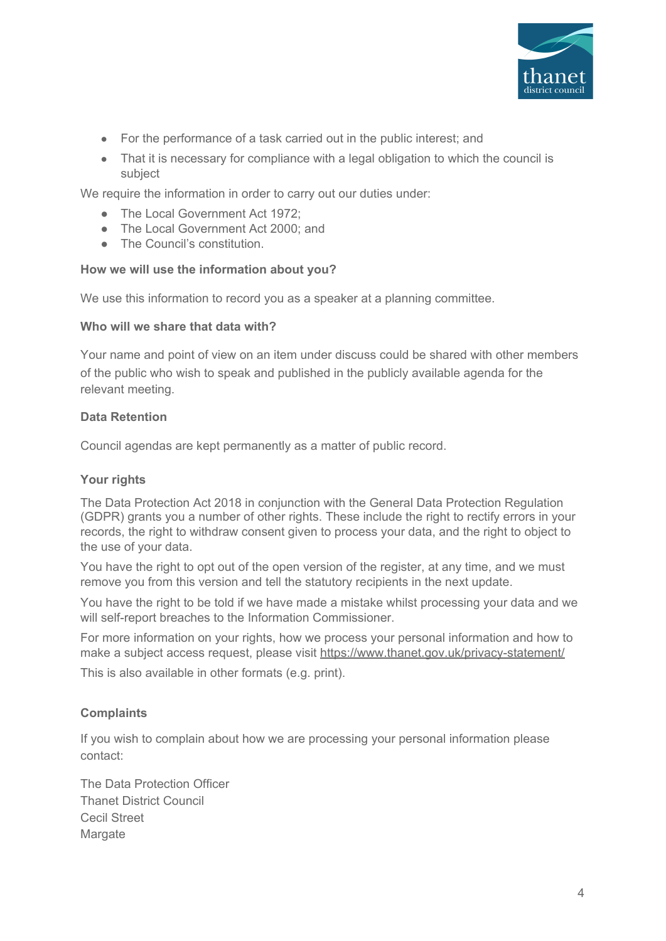

- For the performance of a task carried out in the public interest; and
- That it is necessary for compliance with a legal obligation to which the council is subject

We require the information in order to carry out our duties under:

- The Local Government Act 1972;
- The Local Government Act 2000; and
- The Council's constitution.

### **How we will use the information about you?**

We use this information to record you as a speaker at a planning committee.

### **Who will we share that data with?**

Your name and point of view on an item under discuss could be shared with other members of the public who wish to speak and published in the publicly available agenda for the relevant meeting.

### **Data Retention**

Council agendas are kept permanently as a matter of public record.

# **Your rights**

The Data Protection Act 2018 in conjunction with the General Data Protection Regulation (GDPR) grants you a number of other rights. These include the right to rectify errors in your records, the right to withdraw consent given to process your data, and the right to object to the use of your data.

You have the right to opt out of the open version of the register, at any time, and we must remove you from this version and tell the statutory recipients in the next update.

You have the right to be told if we have made a mistake whilst processing your data and we will self-report breaches to the Information Commissioner.

For more information on your rights, how we process your personal information and how to make a subject access request, please visit <https://www.thanet.gov.uk/privacy-statement/>

This is also available in other formats (e.g. print).

# **Complaints**

If you wish to complain about how we are processing your personal information please contact:

The Data Protection Officer Thanet District Council Cecil Street **Margate**